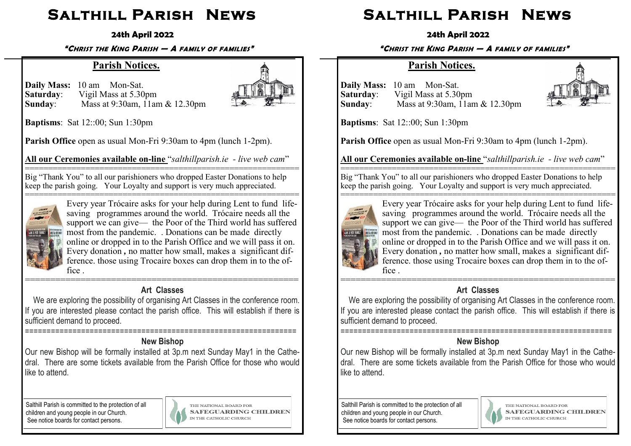# **Salthill Parish News**

### **24th April 2022**

**"CHRIST THE KING PARISH — A FAMILY OF FAMILIES"**

## **Parish Notices.**

**Daily Mass:** 10 am Mon-Sat. **Saturday:** Vigil Mass at 5.30pm<br>**Sunday:** Mass at 9:30am, 11ar **Sunday**: Mass at 9:30am, 11am & 12.30pm



**Baptisms**: Sat 12::00; Sun 1:30pm

**Parish Office** open as usual Mon-Fri 9:30am to 4pm (lunch 1-2pm).

**All our Ceremonies available on-line** "*salthillparish.ie - live web cam*"

=========================================================== Big "Thank You" to all our parishioners who dropped Easter Donations to help keep the parish going. Your Loyalty and support is very much appreciated.



=========================================================== Every year Trócaire asks for your help during Lent to fund lifesaving programmes around the world. Trócaire needs all the support we can give— the Poor of the Third world has suffered most from the pandemic. . Donations can be made directly online or dropped in to the Parish Office and we will pass it on. Every donation *,* no matter how small, makes a significant difference. those using Trocaire boxes can drop them in to the office .

## **Art Classes**

 We are exploring the possibility of organising Art Classes in the conference room. If you are interested please contact the parish office. This will establish if there is sufficient demand to proceed.

## **New Bishop**

Our new Bishop will be formally installed at 3p.m next Sunday May1 in the Cathedral. There are some tickets available from the Parish Office for those who would like to attend.

Salthill Parish is committed to the protection of all children and young people in our Church. See notice boards for contact persons.

===============================================================



THE NATIONAL BOARD FOR **SAFEGUARDING CHILDREN** IN THE CATHOLIC CHURCH

# **Salthill Parish News**

**24th April 2022**

**"CHRIST THE KING PARISH — A FAMILY OF FAMILIES"**

## **Parish Notices.**

**Daily Mass:** 10 am Mon-Sat. **Saturday:** Vigil Mass at 5.30pm<br>**Sunday:** Mass at 9:30am, 11ar **Sunday**: Mass at 9:30am, 11am & 12.30pm



**Baptisms**: Sat 12::00; Sun 1:30pm

**Parish Office** open as usual Mon-Fri 9:30am to 4pm (lunch 1-2pm).

**All our Ceremonies available on-line** "*salthillparish.ie - live web cam*"

=========================================================== Big "Thank You" to all our parishioners who dropped Easter Donations to help keep the parish going. Your Loyalty and support is very much appreciated.



=========================================================== Every year Trócaire asks for your help during Lent to fund lifesaving programmes around the world. Trócaire needs all the support we can give— the Poor of the Third world has suffered most from the pandemic. . Donations can be made directly online or dropped in to the Parish Office and we will pass it on. Every donation, no matter how small, makes a significant difference. those using Trocaire boxes can drop them in to the office .

### ====================================================== **Art Classes**

 We are exploring the possibility of organising Art Classes in the conference room. If you are interested please contact the parish office. This will establish if there is sufficient demand to proceed.

### =============================================================== **New Bishop**

Our new Bishop will be formally installed at 3p.m next Sunday May1 in the Cathedral. There are some tickets available from the Parish Office for those who would like to attend.

Salthill Parish is committed to the protection of all children and young people in our Church. See notice boards for contact persons.



THE NATIONAL BOARD FOR **SAFEGUARDING CHILDREN** IN THE CATHOLIC CHURCH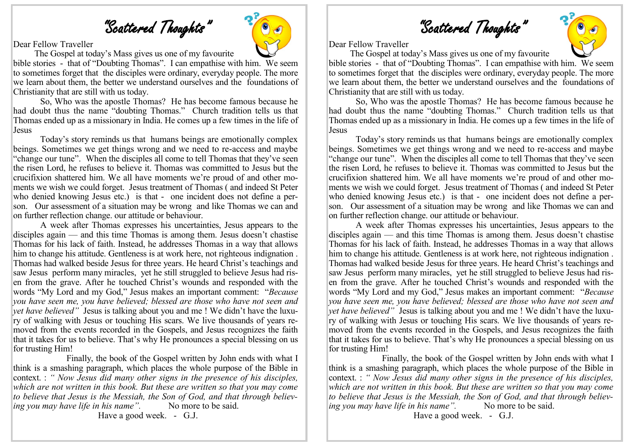"Scattered Thoughts"

Dear Fellow Traveller

The Gospel at today's Mass gives us one of my favourite

bible stories - that of "Doubting Thomas". I can empathise with him. We seem to sometimes forget that the disciples were ordinary, everyday people. The more we learn about them, the better we understand ourselves and the foundations of Christianity that are still with us today.

So, Who was the apostle Thomas? He has become famous because he had doubt thus the name "doubting Thomas." Church tradition tells us that Thomas ended up as a missionary in India. He comes up a few times in the life of Jesus

Today's story reminds us that humans beings are emotionally complex beings. Sometimes we get things wrong and we need to re-access and maybe "change our tune". When the disciples all come to tell Thomas that they've seen the risen Lord, he refuses to believe it. Thomas was committed to Jesus but the crucifixion shattered him. We all have moments we're proud of and other moments we wish we could forget. Jesus treatment of Thomas ( and indeed St Peter who denied knowing Jesus etc.) is that - one incident does not define a person. Our assessment of a situation may be wrong and like Thomas we can and on further reflection change. our attitude or behaviour.

A week after Thomas expresses his uncertainties, Jesus appears to the disciples again — and this time Thomas is among them. Jesus doesn't chastise Thomas for his lack of faith. Instead, he addresses Thomas in a way that allows him to change his attitude. Gentleness is at work here, not righteous indignation . Thomas had walked beside Jesus for three years. He heard Christ's teachings and saw Jesus perform many miracles, yet he still struggled to believe Jesus had risen from the grave. After he touched Christ's wounds and responded with the words "My Lord and my God," Jesus makes an important comment: "*Because you have seen me, you have believed; blessed are those who have not seen and yet have believed"* Jesus is talking about you and me ! We didn't have the luxury of walking with Jesus or touching His scars. We live thousands of years removed from the events recorded in the Gospels, and Jesus recognizes the faith that it takes for us to believe. That's why He pronounces a special blessing on us for trusting Him!

 Finally, the book of the Gospel written by John ends with what I think is a smashing paragraph, which places the whole purpose of the Bible in context. : *" Now Jesus did many other signs in the presence of his disciples, which are not written in this book. But these are written so that you may come to believe that Jesus is the Messiah, the Son of God, and that through believing you may have life in his name*". No more to be said.

Have a good week. - G.J.





Dear Fellow Traveller

The Gospel at today's Mass gives us one of my favourite

bible stories - that of "Doubting Thomas". I can empathise with him. We seem to sometimes forget that the disciples were ordinary, everyday people. The more we learn about them, the better we understand ourselves and the foundations of Christianity that are still with us today.

So, Who was the apostle Thomas? He has become famous because he had doubt thus the name "doubting Thomas." Church tradition tells us that Thomas ended up as a missionary in India. He comes up a few times in the life of Jesus

Today's story reminds us that humans beings are emotionally complex beings. Sometimes we get things wrong and we need to re-access and maybe "change our tune". When the disciples all come to tell Thomas that they've seen the risen Lord, he refuses to believe it. Thomas was committed to Jesus but the crucifixion shattered him. We all have moments we're proud of and other moments we wish we could forget. Jesus treatment of Thomas ( and indeed St Peter who denied knowing Jesus etc.) is that - one incident does not define a person. Our assessment of a situation may be wrong and like Thomas we can and on further reflection change. our attitude or behaviour.

A week after Thomas expresses his uncertainties, Jesus appears to the disciples again — and this time Thomas is among them. Jesus doesn't chastise Thomas for his lack of faith. Instead, he addresses Thomas in a way that allows him to change his attitude. Gentleness is at work here, not righteous indignation . Thomas had walked beside Jesus for three years. He heard Christ's teachings and saw Jesus perform many miracles, yet he still struggled to believe Jesus had risen from the grave. After he touched Christ's wounds and responded with the words "My Lord and my God," Jesus makes an important comment: "*Because you have seen me, you have believed; blessed are those who have not seen and yet have believed"* Jesus is talking about you and me ! We didn't have the luxury of walking with Jesus or touching His scars. We live thousands of years removed from the events recorded in the Gospels, and Jesus recognizes the faith that it takes for us to believe. That's why He pronounces a special blessing on us for trusting Him!

 Finally, the book of the Gospel written by John ends with what I think is a smashing paragraph, which places the whole purpose of the Bible in context. : *" Now Jesus did many other signs in the presence of his disciples, which are not written in this book. But these are written so that you may come to believe that Jesus is the Messiah, the Son of God, and that through believing you may have life in his name*". No more to be said.

Have a good week. - G.J.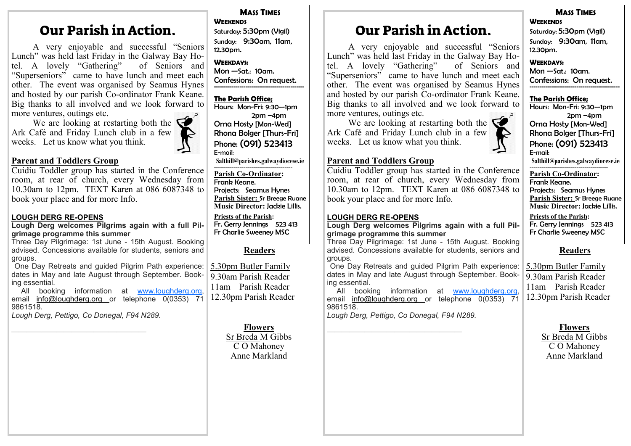## Our Parish in Action.

A very enjoyable and successful "Seniors Lunch" was held last Friday in the Galway Bay Hotel. A lovely "Gathering" of Seniors and tel. A lovely "Gathering" "Superseniors" came to have lunch and meet each other. The event was organised by Seamus Hynes and hosted by our parish Co-ordinator Frank Keane. Big thanks to all involved and we look forward to more ventures, outings etc.

We are looking at restarting both the  $\blacksquare$ Ark Café and Friday Lunch club in a few weeks. Let us know what you think.

#### **Parent and Toddlers Group**

Cuidiu Toddler group has started in the Conference room, at rear of church, every Wednesday from 10.30am to 12pm. TEXT Karen at 086 6087348 to book your place and for more Info.

#### **LOUGH DERG RE-OPENS**

**Lough Derg welcomes Pilgrims again with a full Pilgrimage programme this summer**

Three Day Pilgrimage: 1st June - 15th August. Booking advised. Concessions available for students, seniors and groups.

One Day Retreats and guided Pilgrim Path experience: dates in May and late August through September. Booking essential.

All booking information at [www.loughderg.org,](http://www.loughderg.org) email [info@loughderg.org](mailto:info@loughderg.org%20) or telephone 0(0353) 71 9861518.

*Lough Derg, Pettigo, Co Donegal, F94 N289.*

#### **MASS TIMES WEEKENDS**

Saturday: 5:30pm (Vigil) Sunday: 9:30am, 11am, 12.30pm.

**WEEKDAYS:**  Mon —Sat.: 10am. Confessions: On request. ==============================================

#### **The Parish Office;**

Hours: Mon-Fri: 9:30—1pm 2pm –4pm Orna Hosty [Mon-Wed] Rhona Bolger [Thurs-Fri] Phone: (091) 523413 E-mail:

**Salthill@parishes.galwaydiocese.ie**  ========================================

**Parish Co-Ordinator:** Frank Keane.

Projects: Seamus Hynes **Parish Sister:** Sr Breege Ruane **Music Director:** Jackie Lillis.

**Priests of the Parish:** Fr. Gerry Jennings 523 413 Fr Charlie Sweeney MSC

#### **Readers**

5.30pm Butler Family 9.30am Parish Reader 11am Parish Reader 12.30pm Parish Reader

—————————————————— **Flowers** Sr Breda M Gibbs C O Mahoney Anne Markland

## Our Parish in Action.

A very enjoyable and successful "Seniors Lunch" was held last Friday in the Galway Bay Hotel. A lovely "Gathering" of Seniors and tel. A lovely "Gathering" "Superseniors" came to have lunch and meet each other. The event was organised by Seamus Hynes and hosted by our parish Co-ordinator Frank Keane. Big thanks to all involved and we look forward to more ventures, outings etc.

We are looking at restarting both the  $\overline{\mathbf{C}}$ Ark Café and Friday Lunch club in a few weeks. Let us know what you think.

### **Parent and Toddlers Group**

Cuidiu Toddler group has started in the Conference room, at rear of church, every Wednesday from 10.30am to 12pm. TEXT Karen at 086 6087348 to book your place and for more Info.

#### **LOUGH DERG RE-OPENS**

**Lough Derg welcomes Pilgrims again with a full Pilgrimage programme this summer**

Three Day Pilgrimage: 1st June - 15th August. Booking advised. Concessions available for students, seniors and groups.

One Day Retreats and guided Pilgrim Path experience: dates in May and late August through September. Booking essential.

All booking information at www.loughderg.org email [info@loughderg.org](mailto:info@loughderg.org%20) or telephone 0(0353) 71 9861518.

*Lough Derg, Pettigo, Co Donegal, F94 N289.*

#### **MASS TIMES WEEKENDS**

Saturday: 5:30pm (Vigil) Sunday: 9:30am, 11am, 12.30pm.

#### **WEEKDAYS:**  Mon —Sat.: 10am.

Confessions: On request. ==============================================

#### **The Parish Office;**

Hours: Mon-Fri: 9:30—1pm 2pm –4pm Orna Hosty [Mon-Wed] Rhona Bolger [Thurs-Fri] Phone: (091) 523413 E-mail: **Salthill@parishes.galwaydiocese.ie**  ========================================

**Parish Co-Ordinator:** Frank Keane. Projects: Seamus Hynes **Parish Sister:** Sr Breege Ruane **Music Director:** Jackie Lillis. **Priests of the Parish:** Fr. Gerry Jennings 523 413 Fr Charlie Sweeney MSC

#### **Readers**

5.30pm Butler Family 9.30am Parish Reader 11am Parish Reader 12.30pm Parish Reader

—————————————————— **Flowers** Sr Breda M Gibbs C O Mahoney Anne Markland